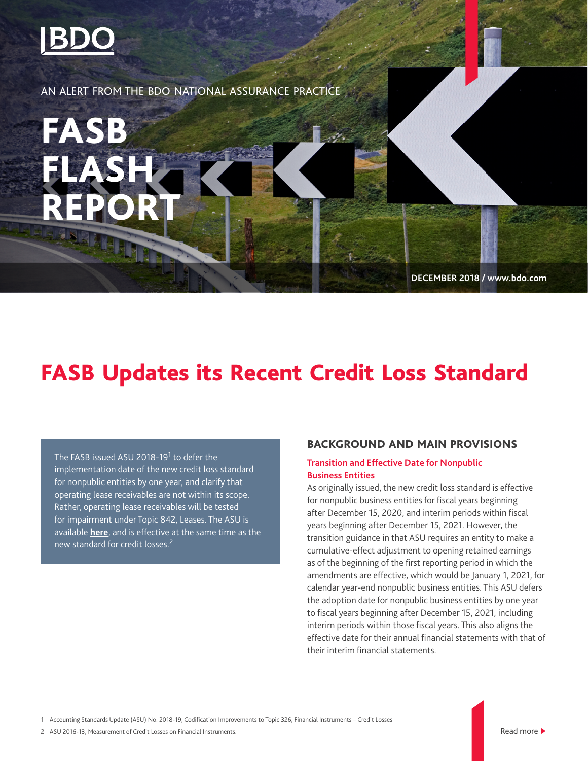

FASB

FLASH

REPORT

AN ALERT FROM THE BDO NATIONAL ASSURANCE PRACTICE

**DECEMBER 2018 / www.bdo.com**

# FASB Updates its Recent Credit Loss Standard

The FASB issued ASU 2018-19<sup>1</sup> to defer the implementation date of the new credit loss standard for nonpublic entities by one year, and clarify that operating lease receivables are not within its scope. Rather, operating lease receivables will be tested for impairment under Topic 842, Leases. The ASU is available **[here](https://www.fasb.org/jsp/FASB/Document_C/DocumentPage?cid=1176171644373&acceptedDisclaimer=true)**, and is effective at the same time as the new standard for credit losses.2

### BACKGROUND AND MAIN PROVISIONS

#### **Transition and Effective Date for Nonpublic Business Entities**

As originally issued, the new credit loss standard is effective for nonpublic business entities for fiscal years beginning after December 15, 2020, and interim periods within fiscal years beginning after December 15, 2021. However, the transition guidance in that ASU requires an entity to make a cumulative-effect adjustment to opening retained earnings as of the beginning of the first reporting period in which the amendments are effective, which would be January 1, 2021, for calendar year-end nonpublic business entities. This ASU defers the adoption date for nonpublic business entities by one year to fiscal years beginning after December 15, 2021, including interim periods within those fiscal years. This also aligns the effective date for their annual financial statements with that of their interim financial statements.

1 Accounting Standards Update (ASU) No. 2018-19, Codification Improvements to Topic 326, Financial Instruments – Credit Losses

2 ASU 2016-13, Measurement of Credit Losses on Financial Instruments.